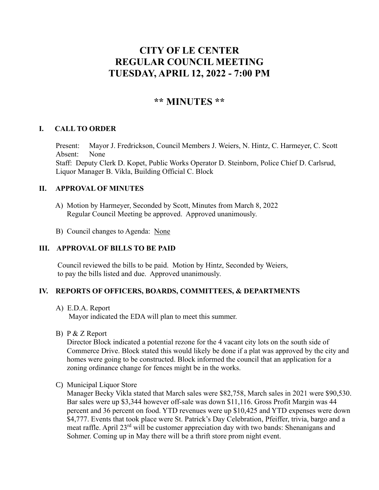# **CITY OF LE CENTER REGULAR COUNCIL MEETING TUESDAY, APRIL 12, 2022 - 7:00 PM**

## **\*\* MINUTES \*\***

## **I. CALL TO ORDER**

Present: Mayor J. Fredrickson, Council Members J. Weiers, N. Hintz, C. Harmeyer, C. Scott Absent: None Staff: Deputy Clerk D. Kopet, Public Works Operator D. Steinborn, Police Chief D. Carlsrud, Liquor Manager B. Vikla, Building Official C. Block

#### **II. APPROVAL OF MINUTES**

- A) Motion by Harmeyer, Seconded by Scott, Minutes from March 8, 2022 Regular Council Meeting be approved. Approved unanimously.
- B) Council changes to Agenda: None

## **III. APPROVAL OF BILLS TO BE PAID**

Council reviewed the bills to be paid. Motion by Hintz, Seconded by Weiers, to pay the bills listed and due. Approved unanimously.

#### **IV. REPORTS OF OFFICERS, BOARDS, COMMITTEES, & DEPARTMENTS**

A) E.D.A. Report

Mayor indicated the EDA will plan to meet this summer.

B) P & Z Report

Director Block indicated a potential rezone for the 4 vacant city lots on the south side of Commerce Drive. Block stated this would likely be done if a plat was approved by the city and homes were going to be constructed. Block informed the council that an application for a zoning ordinance change for fences might be in the works.

C) Municipal Liquor Store

Manager Becky Vikla stated that March sales were \$82,758, March sales in 2021 were \$90,530. Bar sales were up \$3,344 however off-sale was down \$11,116. Gross Profit Margin was 44 percent and 36 percent on food. YTD revenues were up \$10,425 and YTD expenses were down \$4,777. Events that took place were St. Patrick's Day Celebration, Pfeiffer, trivia, bargo and a meat raffle. April 23<sup>rd</sup> will be customer appreciation day with two bands: Shenanigans and Sohmer. Coming up in May there will be a thrift store prom night event.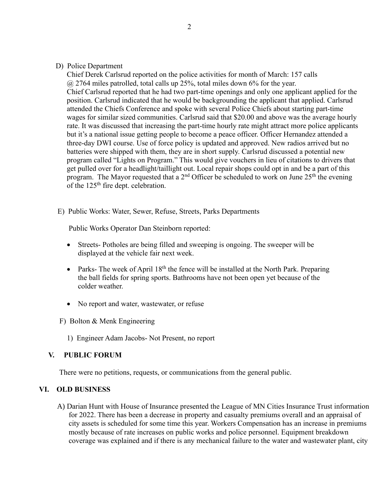#### D) Police Department

Chief Derek Carlsrud reported on the police activities for month of March: 157 calls  $\omega$  2764 miles patrolled, total calls up 25%, total miles down 6% for the year. Chief Carlsrud reported that he had two part-time openings and only one applicant applied for the position. Carlsrud indicated that he would be backgrounding the applicant that applied. Carlsrud attended the Chiefs Conference and spoke with several Police Chiefs about starting part-time wages for similar sized communities. Carlsrud said that \$20.00 and above was the average hourly rate. It was discussed that increasing the part-time hourly rate might attract more police applicants but it's a national issue getting people to become a peace officer. Officer Hernandez attended a three-day DWI course. Use of force policy is updated and approved. New radios arrived but no batteries were shipped with them, they are in short supply. Carlsrud discussed a potential new program called "Lights on Program." This would give vouchers in lieu of citations to drivers that get pulled over for a headlight/taillight out. Local repair shops could opt in and be a part of this program. The Mayor requested that a  $2<sup>nd</sup>$  Officer be scheduled to work on June  $25<sup>th</sup>$  the evening of the 125<sup>th</sup> fire dept. celebration.

E) Public Works: Water, Sewer, Refuse, Streets, Parks Departments

Public Works Operator Dan Steinborn reported:

- Streets- Potholes are being filled and sweeping is ongoing. The sweeper will be displayed at the vehicle fair next week.
- Parks- The week of April  $18<sup>th</sup>$  the fence will be installed at the North Park. Preparing the ball fields for spring sports. Bathrooms have not been open yet because of the colder weather.
- No report and water, wastewater, or refuse
- F) Bolton & Menk Engineering
	- 1) Engineer Adam Jacobs- Not Present, no report

## **V. PUBLIC FORUM**

There were no petitions, requests, or communications from the general public.

## **VI. OLD BUSINESS**

A) Darian Hunt with House of Insurance presented the League of MN Cities Insurance Trust information for 2022. There has been a decrease in property and casualty premiums overall and an appraisal of city assets is scheduled for some time this year. Workers Compensation has an increase in premiums mostly because of rate increases on public works and police personnel. Equipment breakdown coverage was explained and if there is any mechanical failure to the water and wastewater plant, city